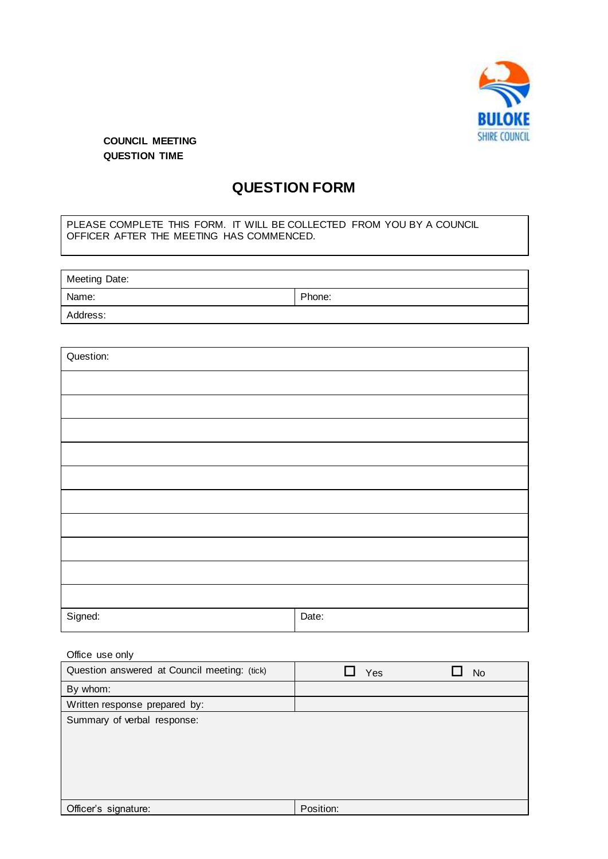

## **COUNCIL MEETING QUESTION TIME**

## **QUESTION FORM**

PLEASE COMPLETE THIS FORM. IT WILL BE COLLECTED FROM YOU BY A COUNCIL OFFICER AFTER THE MEETING HAS COMMENCED.

| Meeting Date: |        |
|---------------|--------|
| Name:         | Phone: |
| Address:      |        |

| Question: |       |
|-----------|-------|
|           |       |
|           |       |
|           |       |
|           |       |
|           |       |
|           |       |
|           |       |
|           |       |
|           |       |
|           |       |
| Signed:   | Date: |

## Office use only

| Question answered at Council meeting: (tick) | Yes       | <b>No</b> |
|----------------------------------------------|-----------|-----------|
| By whom:                                     |           |           |
| Written response prepared by:                |           |           |
| Summary of verbal response:                  |           |           |
|                                              |           |           |
|                                              |           |           |
|                                              |           |           |
|                                              |           |           |
| Officer's signature:                         | Position: |           |